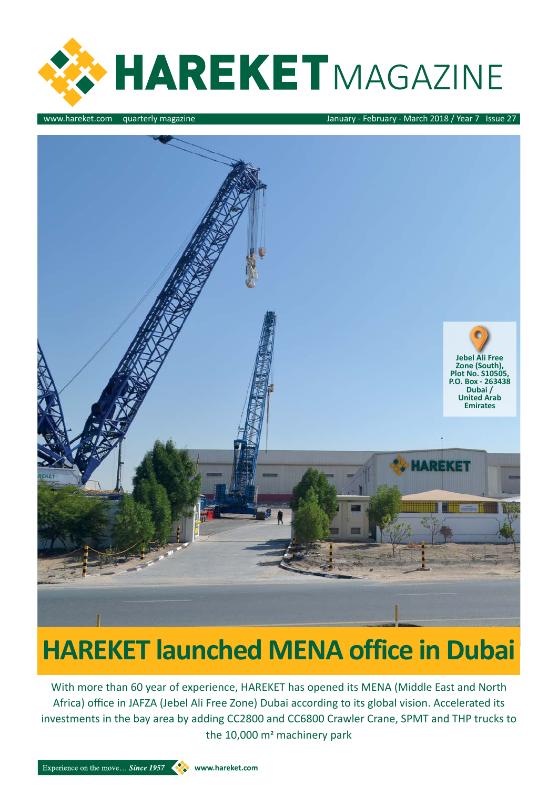

www.hareket.com quarterly magazine January - February - March 2018 / Year 7 Issue 27

#### **HAREKET launched MENA office in Dubai**

With more than 60 year of experience, HAREKET has opened its MENA (Middle East and North Africa) office in JAFZA (Jebel Ali Free Zone) Dubai according to its global vision. Accelerated its investments in the bay area by adding CC2800 and CC6800 Crawler Crane, SPMT and THP trucks to the 10,000 m<sup>2</sup> machinery park

Experience on the move... Since 1957 Www.hareket.com

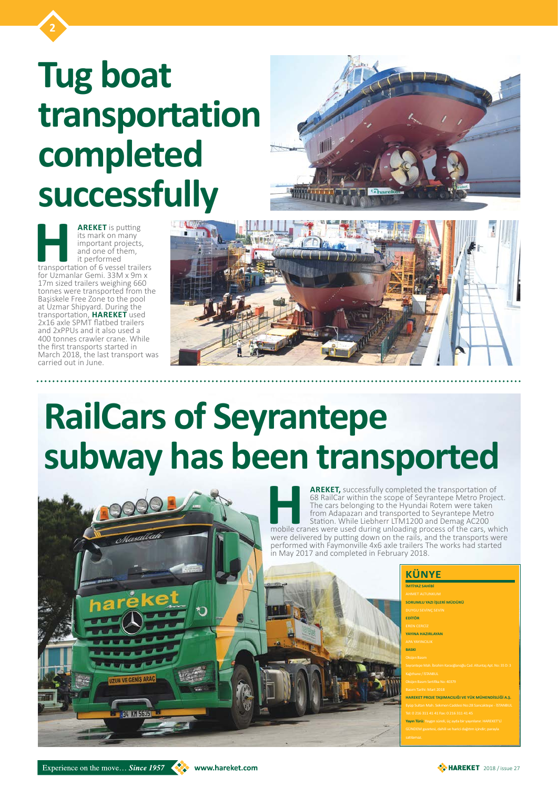

**2**



## **RailCars of Seyrantepe subway has been transported**

**HAREKET,** successfully completed the transportation of 68 RailCar within the scope of Seyrantepe Metro Project.<br>The cars belonging to the Hyundai Rotem were taken from Adapazarı and transported to Seyrantepe Metro Station 68 RailCar within the scope of Seyrantepe Metro Project. The cars belonging to the Hyundai Rotem were taken from Adapazarı and transported to Seyrantepe Metro Station. While Liebherr LTM1200 and Demag AC200 were delivered by putting down on the rails, and the transports were performed with Faymonville 4x6 axle trailers The works had started in May 2017 and completed in February 2018.

**AREKET** is putting<br>
its mark on many<br>
important projects,<br>
and one of them,<br>
it performed<br>
transportation of 6 vessel trailers<br>
for Uzmanlar Gemi 33M x 9m x its mark on many important projects, and one of them, it performed for Uzmanlar Gemi. 33M x 9m x 17m sized trailers weighing 660 tonnes were transported from the Başiskele Free Zone to the pool at Uzmar Shipyard. During the transportation, **HAREKET** used 2x16 axle SPMT flatbed trailers and 2xPPUs and it also used a 400 tonnes crawler crane. While the first transports started in March 2018, the last transport was carried out in June.

> **SORUMLU YAZI İŞLERİ MÜDÜRÜ EDİTÖR YAYINA HAZIRLAYAN BASKI HAREKET PROJE TAŞIMACILIĞI VE YÜK MÜHENDİSLİĞİ A.Ş. Yayın Türü:** Yaygın süreli, üç ayda bir yayınlanır. HAREKET'Lİ

Experience on the move... Since 1957 WWW.hareket.com



## **Tug boat transportation completed successfully**

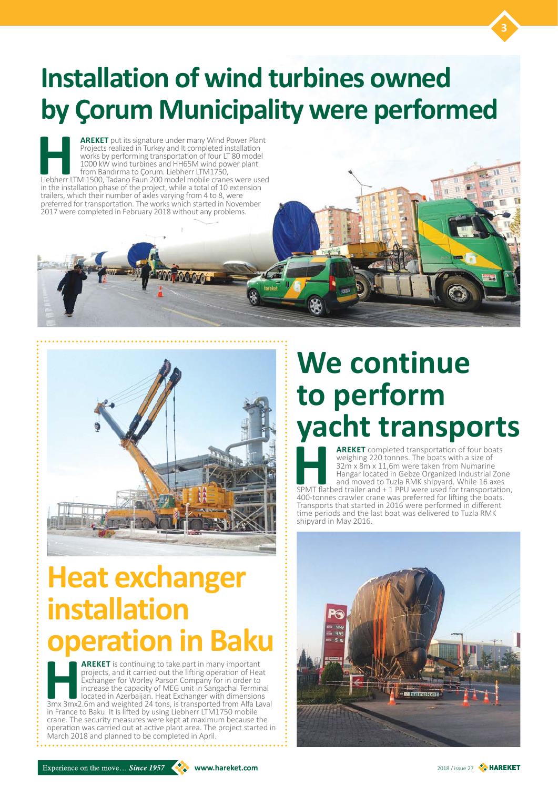

#### **Installation of wind turbines owned by Çorum Municipality were performed**

**HAREKET** put its signature under many Wind Power Plant<br>
Projects realized in Turkey and It completed installation<br>
works by performing transportation of four LT 80 model<br>
1000 kW wind turbines and HH65M wind power plant<br> Projects realized in Turkey and It completed installation works by performing transportation of four LT 80 model 1000 kW wind turbines and HH65M wind power plant from Bandırma to Çorum. Liebherr LTM1750, in the installation phase of the project, while a total of 10 extension trailers, which their number of axles varying from 4 to 8, were preferred for transportation. The works which started in November 2017 were completed in February 2018 without any problems.



**HAREKET** is continuing to take part in many important projects, and it carried out the lifting operation of Heat Exchanger for Worley Parson Company for in order to increase the capacity of MEG unit in Sangachal Terminal projects, and it carried out the lifting operation of Heat Exchanger for Worley Parson Company for in order to increase the capacity of MEG unit in Sangachal Terminal located in Azerbaijan. Heat Exchanger with dimensions in France to Baku. It is lifted by using Liebherr LTM1750 mobile crane. The security measures were kept at maximum because the operation was carried out at active plant area. The project started in March 2018 and planned to be completed in April.

### **Heat exchanger**

#### **installation operation in Baku**

### **We continue to perform yacht transports**

**AREKET** completed transportation of four boats<br>weighing 220 tonnes. The boats with a size of<br>32m x 8m x 11,6m were taken from Numarine<br>Hangar located in Gebze Organized Industrial Zor<br>and moved to Tuzla RMK shipyard. Whil weighing 220 tonnes. The boats with a size of 32m x 8m x 11,6m were taken from Numarine Hangar located in Gebze Organized Industrial Zone and moved to Tuzla RMK shipyard. While 16 axes SPMT flatbed trailer and + 1 PPU were used for transportation, 400-tonnes crawler crane was preferred for lifting the boats. Transports that started in 2016 were performed in different time periods and the last boat was delivered to Tuzla RMK shipyard in May 2016.